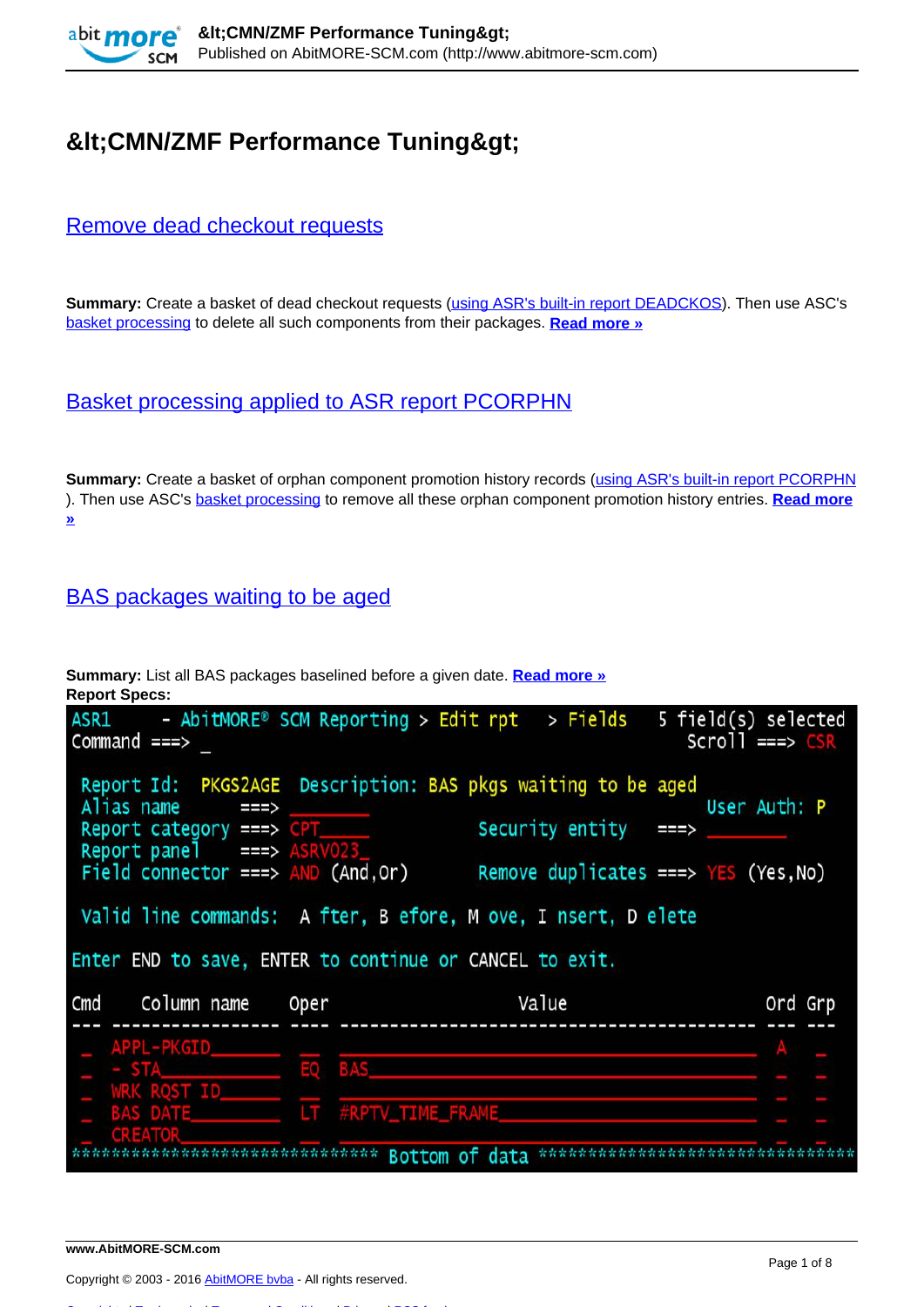

# **&It:CMN/ZMF Performance Tuning&gt:**

#### [Remove dead checkout requests](http://www.abitmore-scm.com/products/commander/usecases/remove-dead-checkout-requests)

**Summary:** Create a basket of dead checkout requests ([using ASR's built-in report DEADCKOS](http://www.abitmore-scm.com/products/reporting/builtin-reports/deadckos)). Then use ASC's [basket processing](http://www.abitmore-scm.com/products/commander/features/basket-processing) to delete all such components from their packages. **[Read more »](http://www.abitmore-scm.com/products/commander/usecases/remove-dead-checkout-requests)**

## [Basket processing applied to ASR report PCORPHN](http://www.abitmore-scm.com/products/commander/usecases/remove-orphan-promotion-history)

**Summary:** Create a basket of orphan component promotion history records ([using ASR's built-in report PCORPHN](http://www.abitmore-scm.com/products/reporting/builtin-reports/pcorphn) ). Then use ASC's [basket processing](http://www.abitmore-scm.com/products/commander/features/basket-processing) to remove all these orphan component promotion history entries. **[Read more](http://www.abitmore-scm.com/products/commander/usecases/remove-orphan-promotion-history) [»](http://www.abitmore-scm.com/products/commander/usecases/remove-orphan-promotion-history)**

## [BAS packages waiting to be aged](http://www.abitmore-scm.com/products/reporting/builtin-reports/pkgs2age)

**Summary:** List all BAS packages baselined before a given date. **[Read more »](http://www.abitmore-scm.com/products/reporting/builtin-reports/pkgs2age) Report Specs:** 

| ASR1<br>Command ===>                                                                                                                |        | - AbitMORE® SCM Reporting > Edit rpt > Fields                                                                                                         | 5 field(s) selected<br>$Scrol1 \implies CSR$           |
|-------------------------------------------------------------------------------------------------------------------------------------|--------|-------------------------------------------------------------------------------------------------------------------------------------------------------|--------------------------------------------------------|
| Alias name<br>Report category $==$ > $CPT$<br>Report panel $\equiv$ ==> $\triangle$ ASRV023<br>Field connector ===> $AND (And, Or)$ | ===>   | Report Id: PKGS2AGE Description: BAS pkgs waiting to be aged<br>Security entity $==$<br>Valid line commands: A fter, B efore, M ove, I nsert, D elete | User Auth: P<br>Remove duplicates ===> $YES$ (Yes, No) |
|                                                                                                                                     |        | Enter END to save, ENTER to continue or CANCEL to exit.                                                                                               |                                                        |
| Cmd Column name                                                                                                                     | Oper   | Value                                                                                                                                                 | Ord Grp                                                |
| APPL-PKGID<br>$-$ STA<br><b>WRK ROST ID</b><br>BAS DATE<br><b>CREATO</b>                                                            | EQ BAS | LT #RPTV_TIME_FRAME                                                                                                                                   |                                                        |
|                                                                                                                                     |        | Bottom of data                                                                                                                                        |                                                        |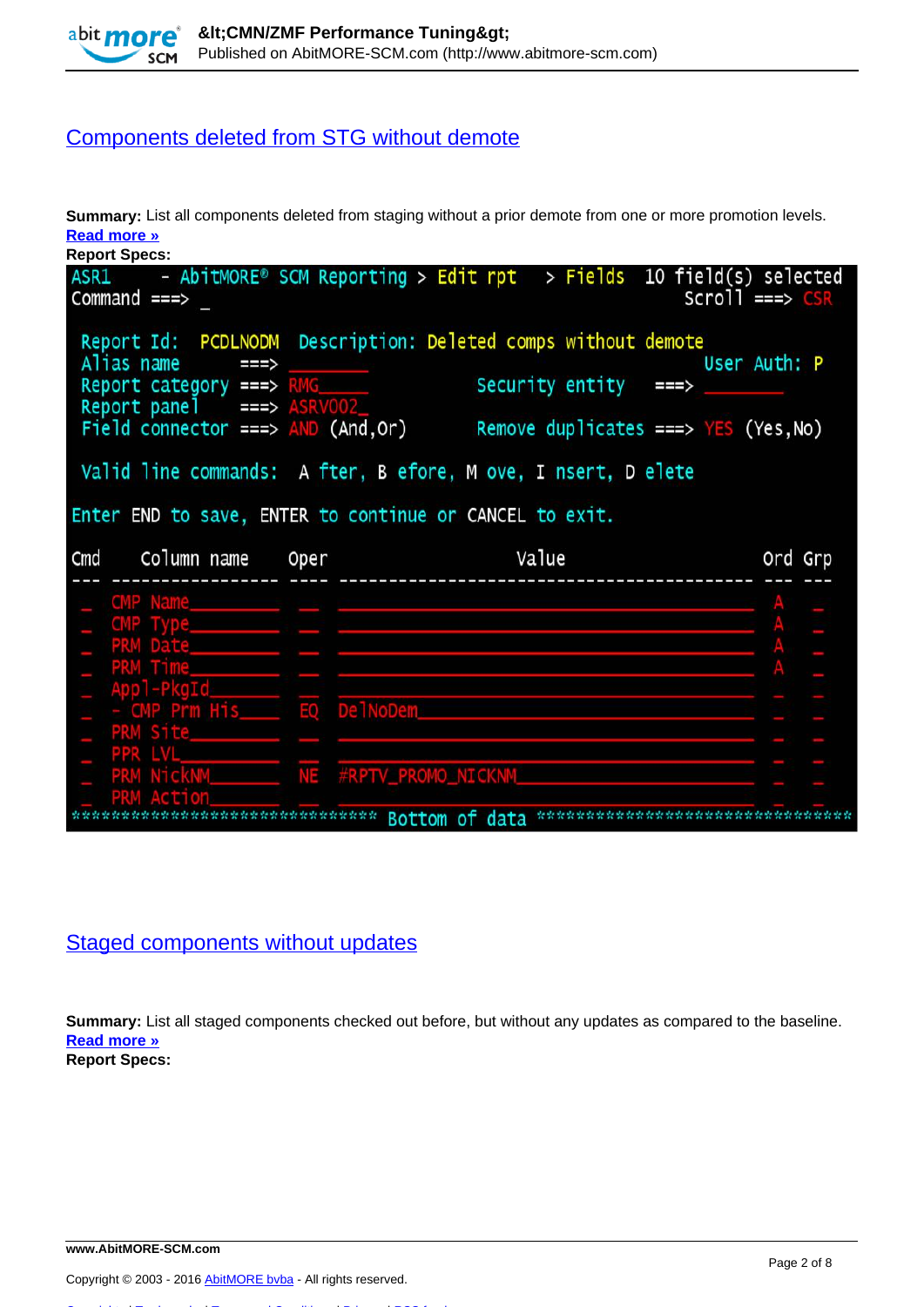

## [Components deleted from STG without demote](http://www.abitmore-scm.com/products/reporting/builtin-reports/pcdlnodm)

**Summary:** List all components deleted from staging without a prior demote from one or more promotion levels. **[Read more »](http://www.abitmore-scm.com/products/reporting/builtin-reports/pcdlnodm)**

| <b>Report Specs:</b>                                  |                                                                             |                   |
|-------------------------------------------------------|-----------------------------------------------------------------------------|-------------------|
| $Command ==->$                                        | $ASR1$ - AbitMORE® SCM Reporting > Edit rpt > Fields 10 field(s) selected   | $Scrol1 == > CSR$ |
| Alias name<br>===>                                    | Report Id: PCDLNODM Description: Deleted comps without demote               | User Auth: P      |
| Report category ===> RMG<br>Report panel ===> ASRV002 | Security entity $==$                                                        |                   |
|                                                       | Field connector ===> $AND (And, Or)$ Remove duplicates ===> $YES (Yes, No)$ |                   |
|                                                       | Valid line commands: A fter, B efore, M ove, I nsert, D elete               |                   |
|                                                       |                                                                             |                   |
|                                                       | Enter END to save, ENTER to continue or CANCEL to exit.                     |                   |
| Cmd Column name Oper                                  | Value                                                                       | Ord Grp           |
|                                                       |                                                                             |                   |
| CMP Type________                                      |                                                                             |                   |
| PRM Date_______                                       |                                                                             |                   |
|                                                       |                                                                             |                   |
|                                                       |                                                                             |                   |
| PRM Site                                              |                                                                             |                   |
|                                                       |                                                                             |                   |
| PRM NickNM_________ NE #RPTV_PROMO_NICKNM______       |                                                                             |                   |

#### [Staged components without updates](http://www.abitmore-scm.com/products/reporting/builtin-reports/cmpnochg)

**Summary:** List all staged components checked out before, but without any updates as compared to the baseline. **[Read more »](http://www.abitmore-scm.com/products/reporting/builtin-reports/cmpnochg)**

**Report Specs:**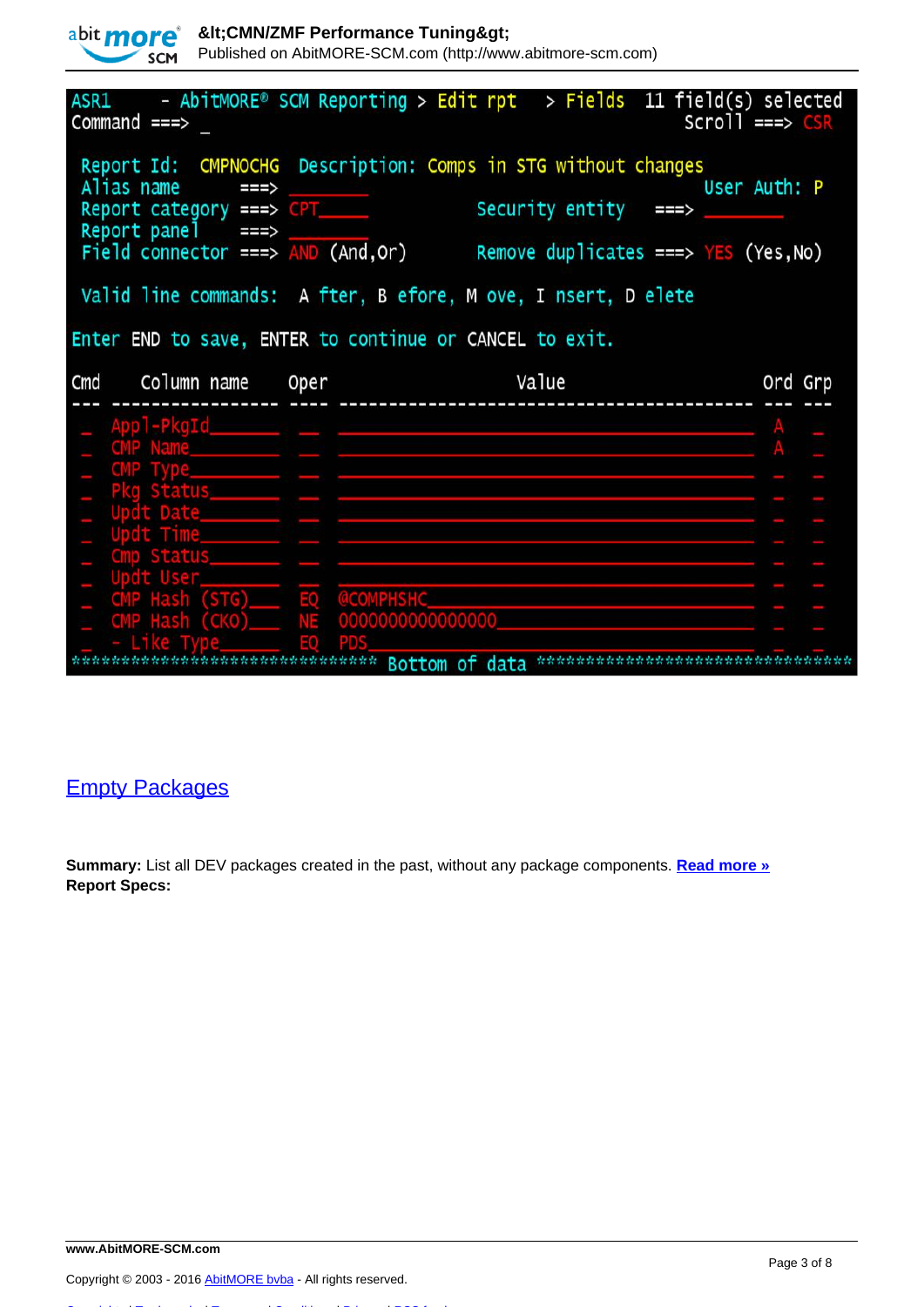| abit more    | <b>SCM</b>                                      |                                                                          | <cmn performance="" tuning="" zmf=""></cmn> | Published on AbitMORE-SCM.com (http://www.abitmore-scm.com)                      |                                        |                   |
|--------------|-------------------------------------------------|--------------------------------------------------------------------------|---------------------------------------------|----------------------------------------------------------------------------------|----------------------------------------|-------------------|
| Command $==$ |                                                 |                                                                          |                                             | $ASR1$ - AbitMORE® SCM Reporting > Edit rpt > Fields 11 field(s) selected        |                                        | $Scrol1 == > CSR$ |
|              |                                                 | Alias name $==$<br>Report category ===> CPT______<br>Report panel $==$ > |                                             | Report Id: CMPNOCHG Description: Comps in STG without changes<br>Security entity | ===>                                   | User Auth: P      |
|              |                                                 |                                                                          | Field connector ===> $AND (And, Or)$        | Valid line commands: A fter, B efore, M ove, I nsert, D elete                    | Remove duplicates ===> $YES$ (Yes, No) |                   |
|              |                                                 |                                                                          |                                             |                                                                                  |                                        |                   |
|              |                                                 |                                                                          |                                             | Enter END to save, ENTER to continue or CANCEL to exit.                          |                                        |                   |
| Cmd          |                                                 | Column name Oper                                                         |                                             | Value                                                                            |                                        | Ord<br>Grp        |
|              | Appl-PkgId<br><b>Status</b><br>t Date<br>Status |                                                                          |                                             |                                                                                  |                                        |                   |

## [Empty Packages](http://www.abitmore-scm.com/products/reporting/builtin-reports/pkgempty)

**Summary:** List all DEV packages created in the past, without any package components. **[Read more »](http://www.abitmore-scm.com/products/reporting/builtin-reports/pkgempty) Report Specs:** 

Copyright © 2003 - 2016 [AbitMORE bvba](http://www.abitmore.be) - All rights reserved.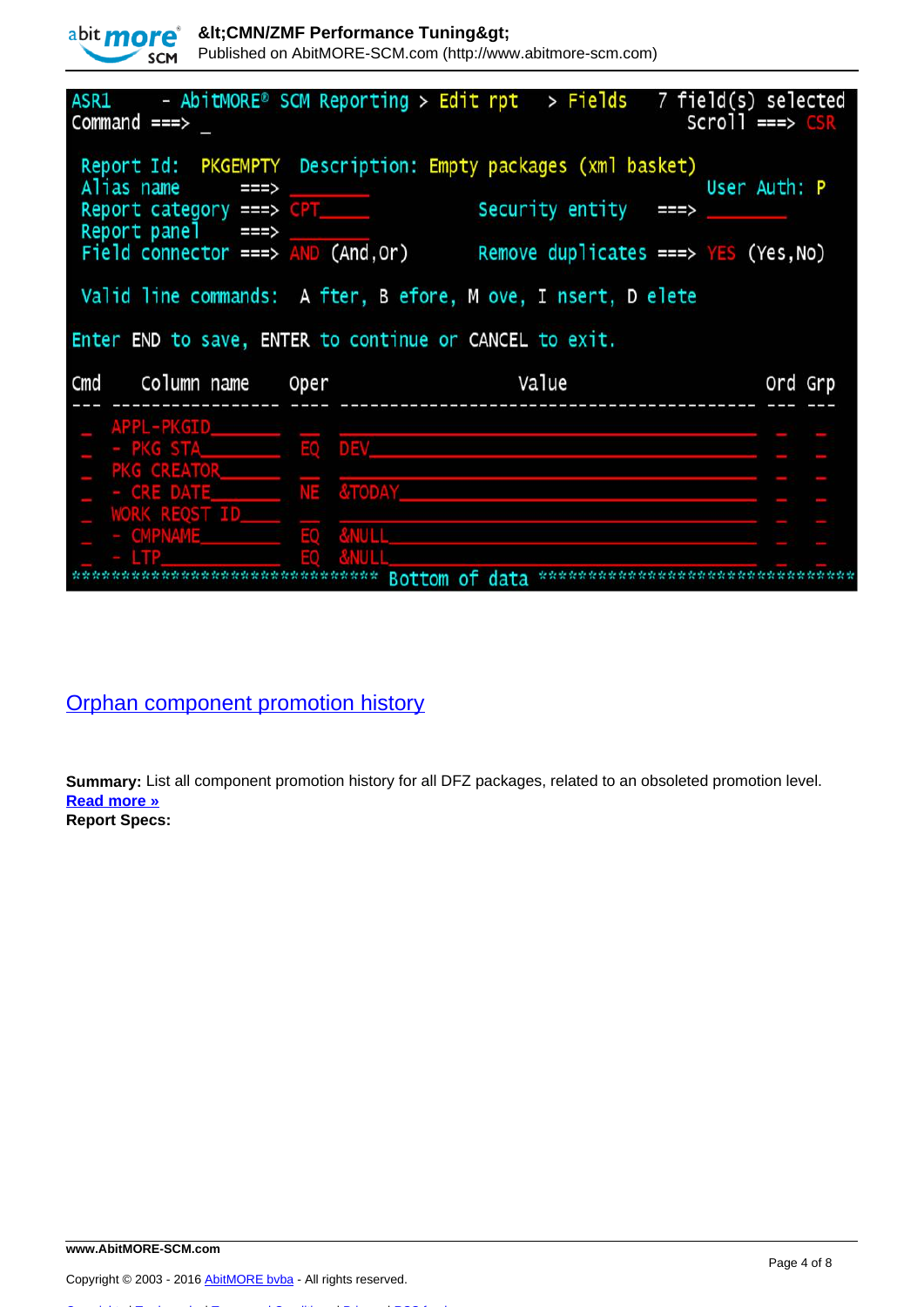|     | <b>SCM</b>     |                                        |                                     | Published on AbitMORE-SCM.com (http://www.abitmore-scm.com)                     |                                              |
|-----|----------------|----------------------------------------|-------------------------------------|---------------------------------------------------------------------------------|----------------------------------------------|
|     | $Command ==$   |                                        |                                     | $ASRI$ - $AbitMORE^{\circ}$ SCM Reporting > Edit rpt > Fields                   | 7 field(s) selected<br>$Scrol1 \implies CSR$ |
|     | Alias name     | $\Rightarrow$<br>Report panel $==$     | Report category ===> CPT______      | Report Id: PKGEMPTY Description: Empty packages (xml basket)<br>Security entity | User Auth: P<br>===>                         |
|     |                |                                        | Field connector ===> $AND$ (And,Or) | Remove duplicates ===> $YES$ (Yes, No)                                          |                                              |
|     |                |                                        |                                     | Valid line commands: A fter, B efore, M ove, I nsert, D elete                   |                                              |
| Cmd |                | Column name                            | Oper                                | Enter END to save, ENTER to continue or CANCEL to exit.<br>Value                | Ord Grp                                      |
|     |                |                                        |                                     |                                                                                 |                                              |
|     |                | APPL-PKGID______<br>- PKG STALL EQ DEV |                                     |                                                                                 |                                              |
|     | PKG CREATOR    |                                        |                                     |                                                                                 |                                              |
|     |                |                                        | - CRE DATE NE &TODAY                |                                                                                 |                                              |
|     |                | WORK REQST ID_                         | &NUL1<br>EO                         |                                                                                 |                                              |
|     | <b>CMPNAME</b> |                                        |                                     | <b>Bottom</b><br>of data                                                        |                                              |

[Orphan component promotion history](http://www.abitmore-scm.com/products/reporting/builtin-reports/pcorphn)

abit **more**<sup>\*</sup> & Ht; CMN/ZMF Performance Tuning&gt;

**Summary:** List all component promotion history for all DFZ packages, related to an obsoleted promotion level. **[Read more »](http://www.abitmore-scm.com/products/reporting/builtin-reports/pcorphn) Report Specs:**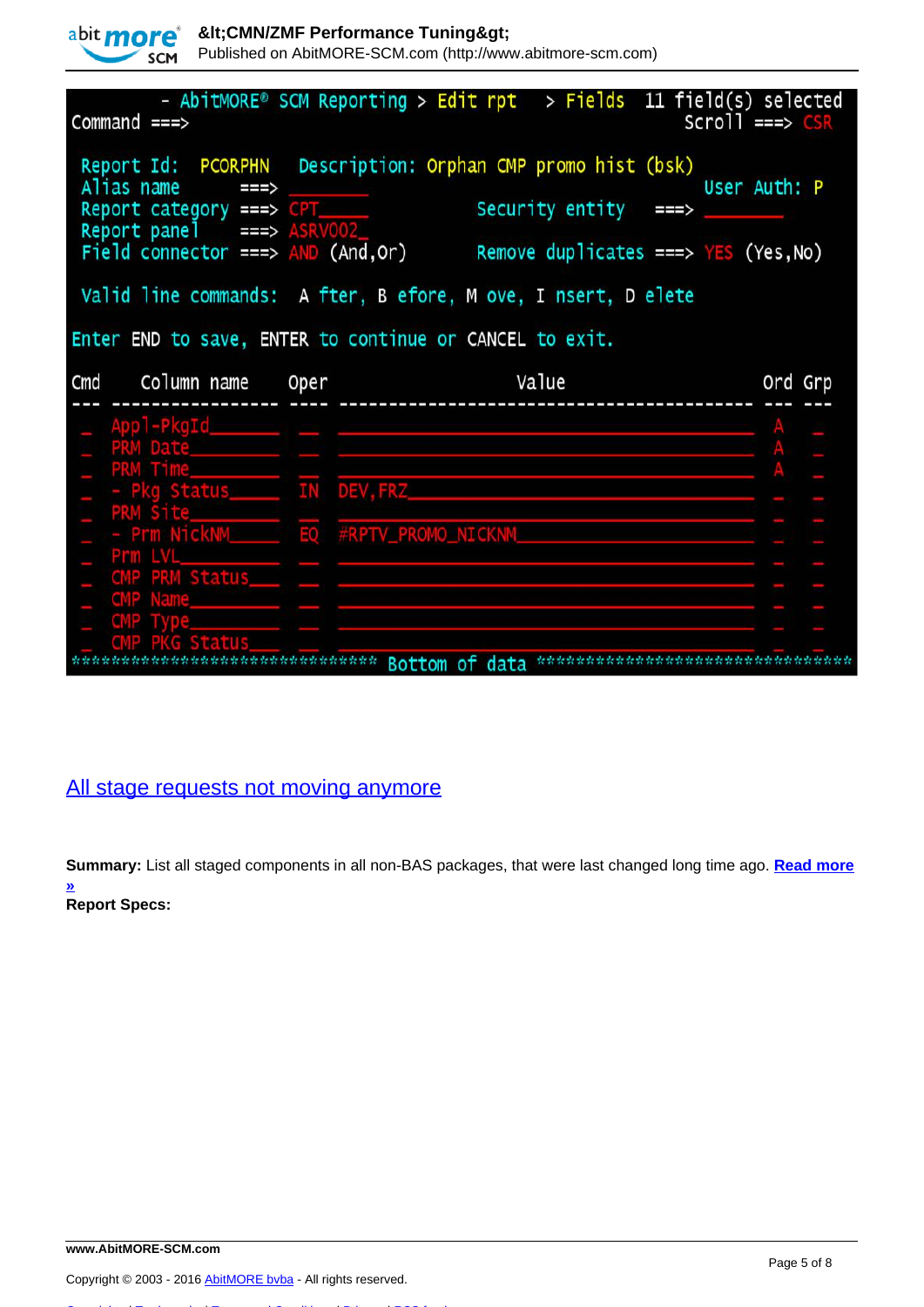|  | abit more |
|--|-----------|
|  | SCM       |

Published on AbitMORE-SCM.com (http://www.abitmore-scm.com)

| Command $==$                                                                                                        | - AbitMORE® SCM Reporting > Edit rpt > Fields 11 field(s) selected                                                            | $scr1 = \Rightarrow GSR$ |
|---------------------------------------------------------------------------------------------------------------------|-------------------------------------------------------------------------------------------------------------------------------|--------------------------|
| Alias name<br>===><br>Report category ===> CPT<br>Report panel ===> ASRV002<br>Field connector ===> $AND$ (And, Or) | Report Id: PCORPHN Description: Orphan CMP promo hist (bsk)<br>Security entity ===><br>Remove duplicates ===> $YES$ (Yes, No) | User Auth: P             |
|                                                                                                                     | Valid line commands: A fter, B efore, M ove, I nsert, D elete                                                                 |                          |
|                                                                                                                     | Enter END to save, ENTER to continue or CANCEL to exit.                                                                       |                          |
| Cmd Column name Oper                                                                                                | <u>Value</u>                                                                                                                  | Ord Grp                  |
| Appl-PkgId                                                                                                          |                                                                                                                               |                          |
| PRM Date                                                                                                            |                                                                                                                               |                          |
| PRM Time_____                                                                                                       | - Pkg Status IN DEV, FRZ                                                                                                      |                          |
| Prm LVL_____                                                                                                        |                                                                                                                               |                          |
| CMP PRM Status____ __ __                                                                                            |                                                                                                                               |                          |
| <b>CMP Name</b>                                                                                                     |                                                                                                                               |                          |
|                                                                                                                     |                                                                                                                               |                          |

## [All stage requests not moving anymore](http://www.abitmore-scm.com/products/reporting/builtin-reports/deadstgs)

**Summary:** List all staged components in all non-BAS packages, that were last changed long time ago. **[Read more](http://www.abitmore-scm.com/products/reporting/builtin-reports/deadstgs) [»](http://www.abitmore-scm.com/products/reporting/builtin-reports/deadstgs) Report Specs:**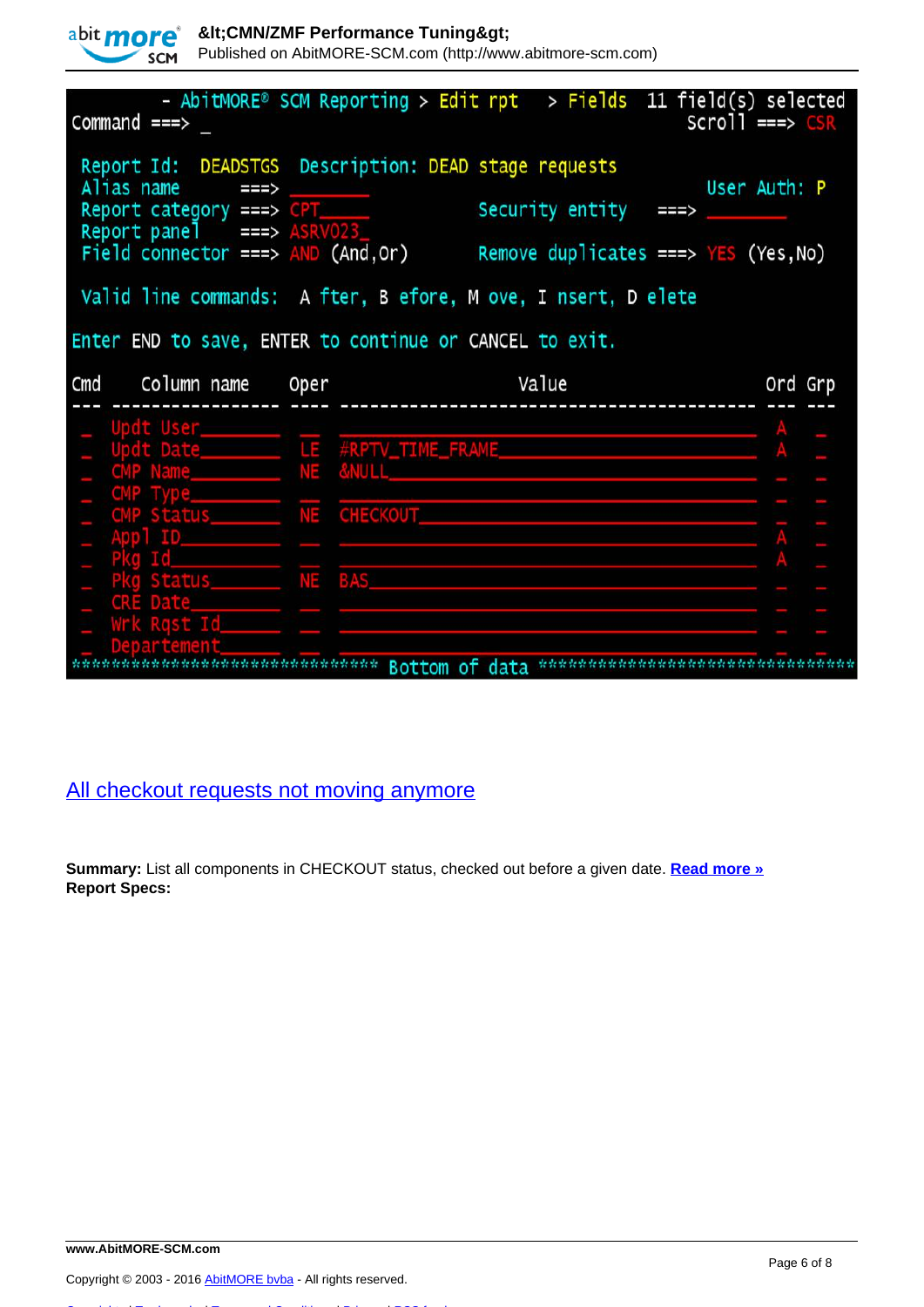

Published on AbitMORE-SCM.com (http://www.abitmore-scm.com)

| $Common and == >$                                                              | - AbitMORE® SCM Reporting > Edit rpt > Fields 11 field(s) selected                                                                                             | $Scrol1 == > CSR$ |
|--------------------------------------------------------------------------------|----------------------------------------------------------------------------------------------------------------------------------------------------------------|-------------------|
| Alias name $==$<br>Report category ===> CPT______<br>Report panel ===> ASRV023 | Report Id: DEADSTGS Description: DEAD stage requests<br>Security entity<br>===><br>Field connector ===> $AND (And, Or)$ Remove duplicates ===> $YES (Yes, No)$ | User Auth: P      |
|                                                                                | Valid line commands: A fter, B efore, M ove, I nsert, D elete                                                                                                  |                   |
|                                                                                | Enter END to save, ENTER to continue or CANCEL to exit.                                                                                                        |                   |
| Cmd Column name Oper                                                           | <b>Samuel Value</b>                                                                                                                                            | Ord Grp           |
| Updt User______                                                                |                                                                                                                                                                |                   |
|                                                                                |                                                                                                                                                                |                   |
| CMP Name NE                                                                    | <b>&amp;NULL</b>                                                                                                                                               |                   |
| CMP Status_________ NE CHECKOUT________                                        |                                                                                                                                                                |                   |
|                                                                                |                                                                                                                                                                |                   |
| Pkg Status________ NE BAS____                                                  |                                                                                                                                                                |                   |
| CRE Date                                                                       |                                                                                                                                                                |                   |
| Vrk Rqst Id                                                                    |                                                                                                                                                                |                   |
|                                                                                | **************************** Bottom of data ******                                                                                                             |                   |

## [All checkout requests not moving anymore](http://www.abitmore-scm.com/products/reporting/builtin-reports/deadckos)

**Summary:** List all components in CHECKOUT status, checked out before a given date. **[Read more »](http://www.abitmore-scm.com/products/reporting/builtin-reports/deadckos) Report Specs:**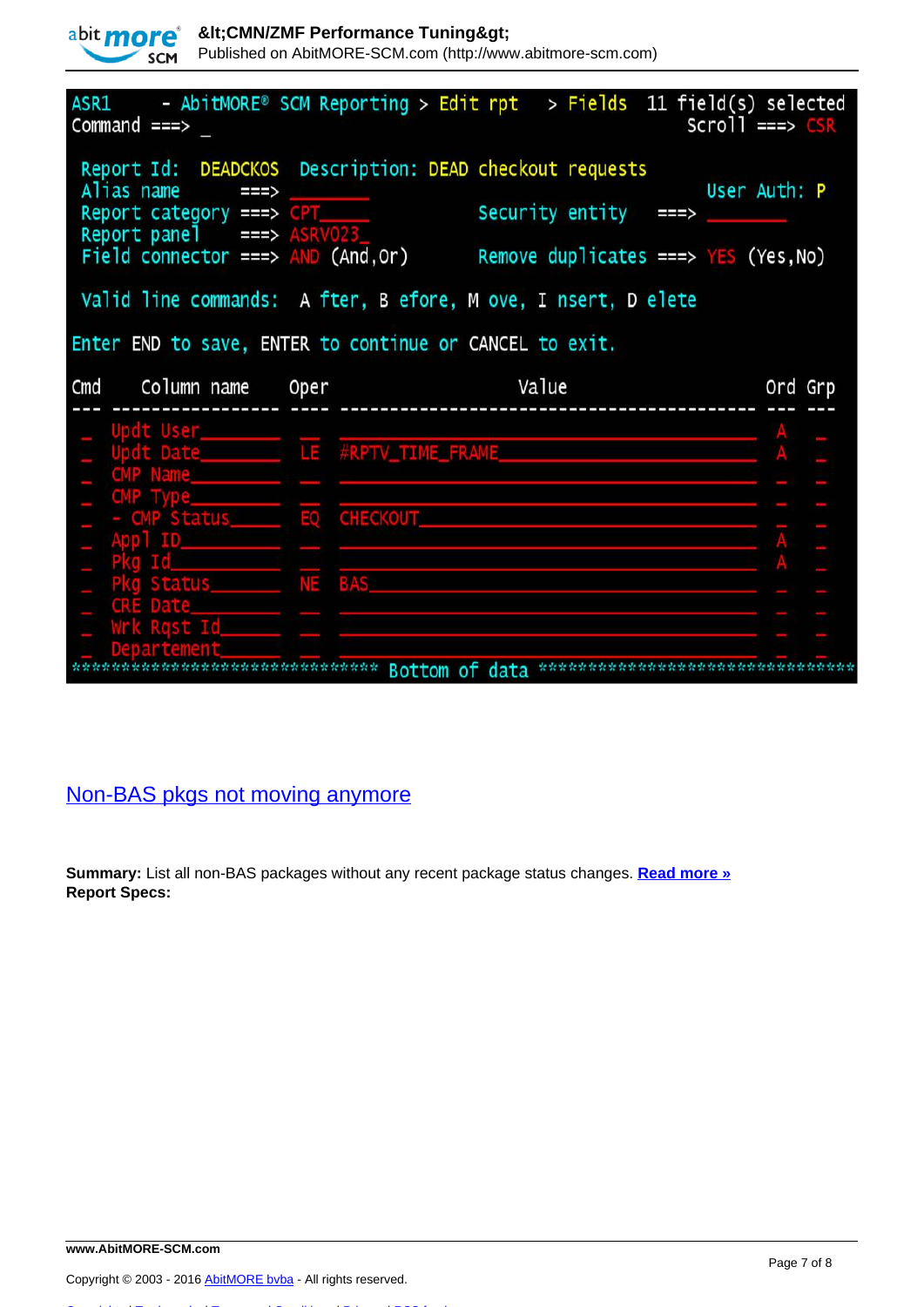

Published on AbitMORE-SCM.com (http://www.abitmore-scm.com)

| $ASR1$ - AbitMORE® SCM Reporting > Edit rpt > Fields 11 field(s) selected<br>$Common and == >$                                                                                               |                                        |                      | $Scrol1$ ===> $CSR$                                            |
|----------------------------------------------------------------------------------------------------------------------------------------------------------------------------------------------|----------------------------------------|----------------------|----------------------------------------------------------------|
| Report Id: DEADCKOS Description: DEAD checkout requests<br>Alias name $==$ ><br>Report category ===> CPT______<br>Report panel $\qquad$ ===> ASRV023<br>Field connector ===> $AND$ (And, Or) |                                        | Security entity      | User Auth: P<br>===><br>Remove duplicates ===> $YES$ (Yes, No) |
| Valid line commands: A fter, B efore, M ove, I nsert, D elete                                                                                                                                |                                        |                      |                                                                |
| Enter END to save, ENTER to continue or CANCEL to exit.                                                                                                                                      |                                        |                      |                                                                |
| Cmd Column name Oper                                                                                                                                                                         |                                        | <u>and the value</u> | Ord Grp                                                        |
| CMP Name                                                                                                                                                                                     |                                        |                      |                                                                |
|                                                                                                                                                                                              |                                        |                      |                                                                |
| Pkg Status NE BAS<br>CRE Date_____<br>wrk Rgst Id_______                                                                                                                                     |                                        |                      |                                                                |
|                                                                                                                                                                                              | **************** Bottom of data ****** |                      |                                                                |

# [Non-BAS pkgs not moving anymore](http://www.abitmore-scm.com/products/reporting/builtin-reports/deadpkgs)

**Summary:** List all non-BAS packages without any recent package status changes. **[Read more »](http://www.abitmore-scm.com/products/reporting/builtin-reports/deadpkgs) Report Specs:**